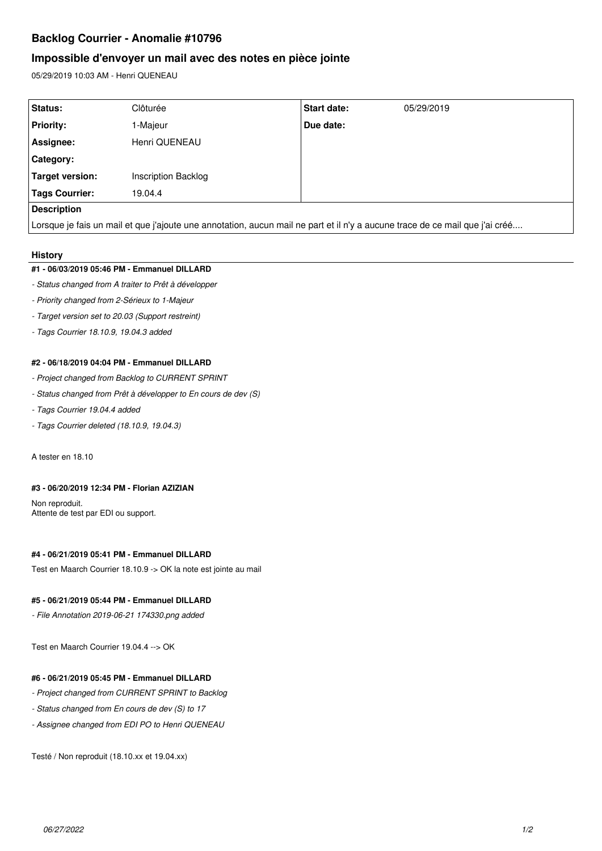# **Backlog Courrier - Anomalie #10796**

# **Impossible d'envoyer un mail avec des notes en pièce jointe**

05/29/2019 10:03 AM - Henri QUENEAU

| Status:                                                                                                                      | Clôturée                   | <b>Start date:</b> | 05/29/2019 |
|------------------------------------------------------------------------------------------------------------------------------|----------------------------|--------------------|------------|
| <b>Priority:</b>                                                                                                             | 1-Majeur                   | Due date:          |            |
| Assignee:                                                                                                                    | Henri QUENEAU              |                    |            |
| Category:                                                                                                                    |                            |                    |            |
| <b>Target version:</b>                                                                                                       | <b>Inscription Backlog</b> |                    |            |
| <b>Tags Courrier:</b>                                                                                                        | 19.04.4                    |                    |            |
| <b>Description</b>                                                                                                           |                            |                    |            |
| Lorsque je fais un mail et que j'ajoute une annotation, aucun mail ne part et il n'y a aucune trace de ce mail que j'ai créé |                            |                    |            |

#### **History**

#### **#1 - 06/03/2019 05:46 PM - Emmanuel DILLARD**

- *Status changed from A traiter to Prêt à développer*
- *Priority changed from 2-Sérieux to 1-Majeur*
- *Target version set to 20.03 (Support restreint)*
- *Tags Courrier 18.10.9, 19.04.3 added*

#### **#2 - 06/18/2019 04:04 PM - Emmanuel DILLARD**

- *Project changed from Backlog to CURRENT SPRINT*
- *Status changed from Prêt à développer to En cours de dev (S)*
- *Tags Courrier 19.04.4 added*
- *Tags Courrier deleted (18.10.9, 19.04.3)*

A tester en 18.10

#### **#3 - 06/20/2019 12:34 PM - Florian AZIZIAN**

Non reproduit. Attente de test par EDI ou support.

## **#4 - 06/21/2019 05:41 PM - Emmanuel DILLARD**

Test en Maarch Courrier 18.10.9 -> OK la note est jointe au mail

## **#5 - 06/21/2019 05:44 PM - Emmanuel DILLARD**

*- File Annotation 2019-06-21 174330.png added*

Test en Maarch Courrier 19.04.4 --> OK

### **#6 - 06/21/2019 05:45 PM - Emmanuel DILLARD**

- *Project changed from CURRENT SPRINT to Backlog*
- *Status changed from En cours de dev (S) to 17*
- *Assignee changed from EDI PO to Henri QUENEAU*

Testé / Non reproduit (18.10.xx et 19.04.xx)